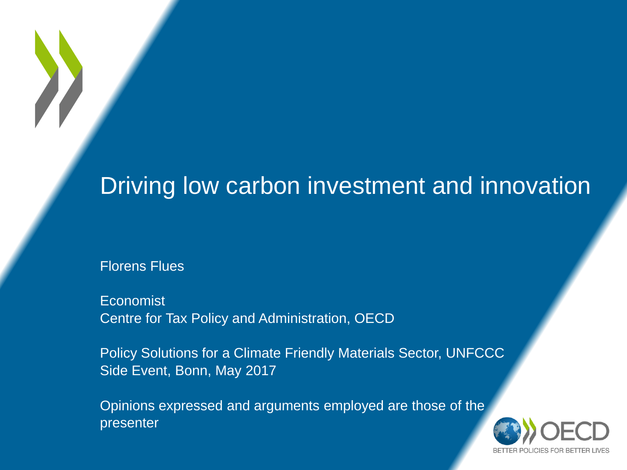### Driving low carbon investment and innovation

Florens Flues

Economist Centre for Tax Policy and Administration, OECD

Policy Solutions for a Climate Friendly Materials Sector, UNFCCC Side Event, Bonn, May 2017

Opinions expressed and arguments employed are those of the presenter

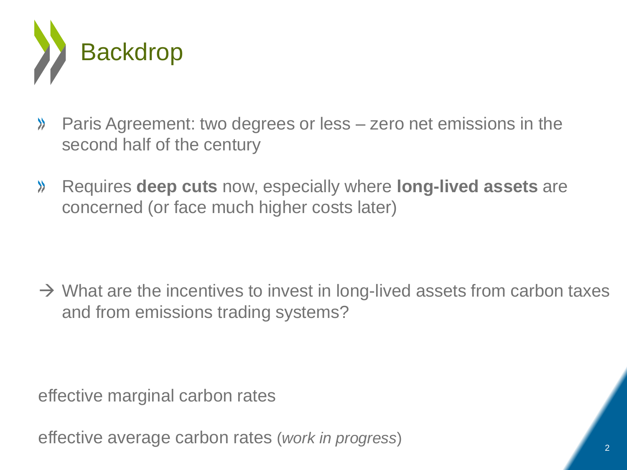

- Paris Agreement: two degrees or less zero net emissions in the  $\lambda$ second half of the century
- Requires **deep cuts** now, especially where **long-lived assets** are  $\lambda$ concerned (or face much higher costs later)

 $\rightarrow$  What are the incentives to invest in long-lived assets from carbon taxes and from emissions trading systems?

effective marginal carbon rates

effective average carbon rates (*work in progress*)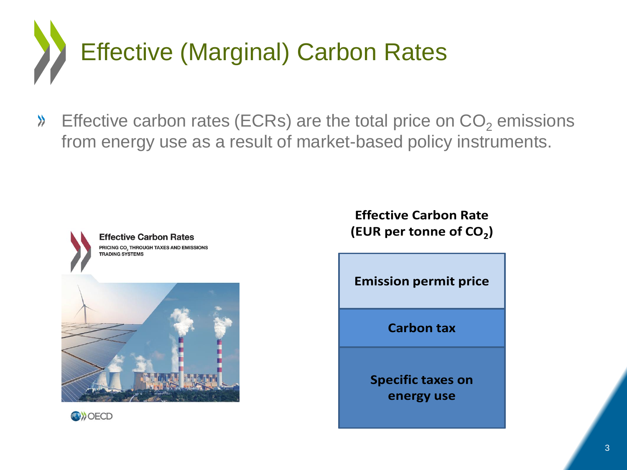

Effective carbon rates (ECRs) are the total price on  $CO<sub>2</sub>$  emissions  $\lambda$ from energy use as a result of market-based policy instruments.





**Effective Carbon Rate (EUR per tonne of CO<sup>2</sup> )**

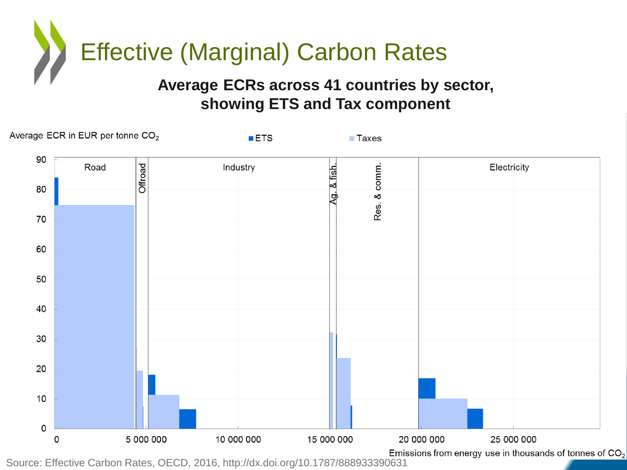

#### **Average ECRs across 41 countries by sector, showing ETS and Tax component**



Source: Effective Carbon Rates, OECD, 2016, http://dx.doi.org/10.1787/888933390631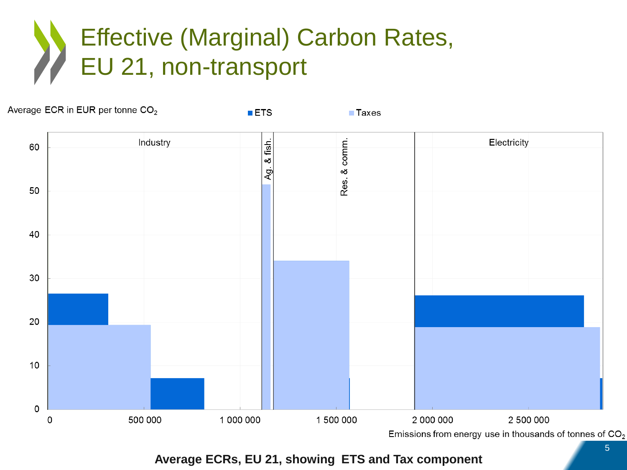# Effective (Marginal) Carbon Rates, EU 21, non-transport

 $ETS$ 

Average ECR in EUR per tonne CO<sub>2</sub>

 $\blacksquare$  Taxes



**Average ECRs, EU 21, showing ETS and Tax component**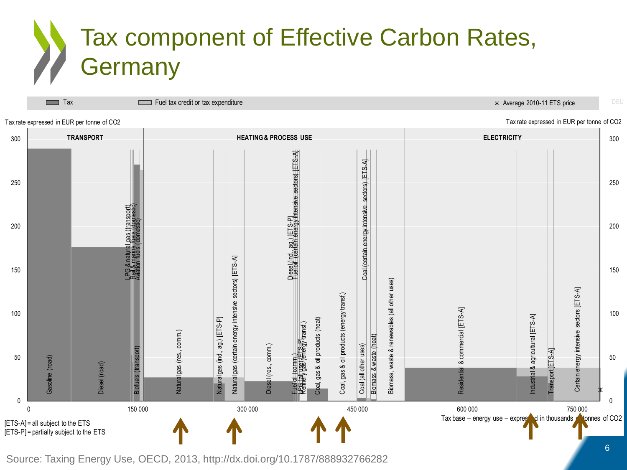# Tax component of Effective Carbon Rates, Germany

**TRANSPORT HEATING & PROCESS USE ELECTRICITY** Contain (1980)<br>
Constraints (1980)<br>
Constrained (1984)<br>
Constrained (1984)<br>
Constrained (1985)<br>
Constrained (1985)<br>
Constrained (1985)<br>
Constrained (1985)<br>
Constrained (1988)<br>
Constrained (1988)<br>
Constrained September (19 0 50 100 150 200 250 300 0 50 100 150 200 250 300 0 150 000 150 000 300 000 300 000 450 000 450 000 450 000 500 000 500 000 500 000 500 000 500 000 750 000 750 Tax rate expressed in EUR per tonne of CO2 Tax rate expressed in EUR per tonne of CO2 Tax rate expressed in EUR per tonne of CO2 Tax base – energy use – expressed in thousands to the ETS and the ETS connes of CO2 [ETS-P] = partially subject to the ETS Tax Fuel tax credit or tax expenditure  $\Box$  Fuel tax credit or tax expenditure  $\Box$  Fuel tax credit or tax expenditure

Source: Taxing Energy Use, OECD, 2013, http://dx.doi.org/10.1787/888932766282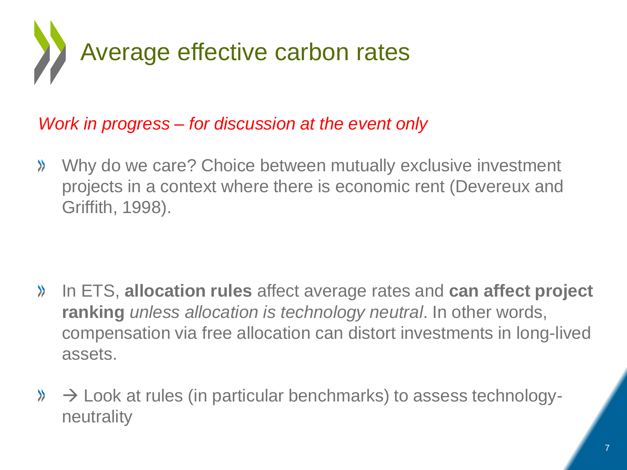

### *Work in progress – for discussion at the event only*

Why do we care? Choice between mutually exclusive investment  $\lambda$ projects in a context where there is economic rent (Devereux and Griffith, 1998).

- In ETS, **allocation rules** affect average rates and **can affect project**   $\lambda$ **ranking** *unless allocation is technology neutral*. In other words, compensation via free allocation can distort investments in long-lived assets.
- $\aleph \rightarrow$  Look at rules (in particular benchmarks) to assess technologyneutrality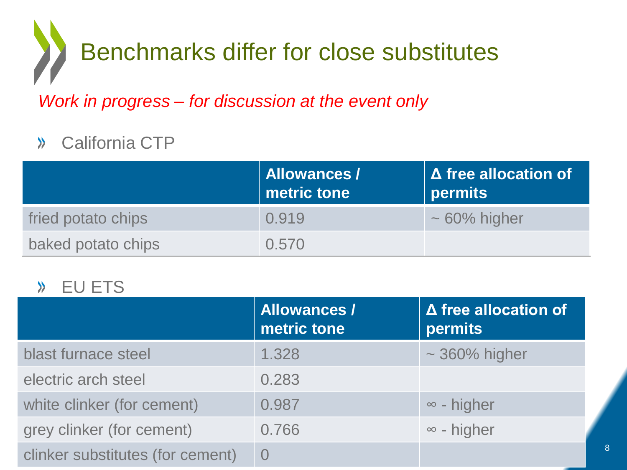# Benchmarks differ for close substitutes

*Work in progress – for discussion at the event only*

#### California CTP  $\lambda$

|                    | Allowances /<br>$\mid$ metric tone $\mid$ | $\Delta$ free allocation of<br><b>permits</b> |
|--------------------|-------------------------------------------|-----------------------------------------------|
| fried potato chips | 0.919                                     | $\sim 60\%$ higher                            |
| baked potato chips | 0.570                                     |                                               |

#### EU ETS  $\lambda$

|                                  | <b>Allowances /</b><br>metric tone | $\Delta$ free allocation of<br>permits |
|----------------------------------|------------------------------------|----------------------------------------|
| blast furnace steel              | 1.328                              | $\sim$ 360% higher                     |
| electric arch steel              | 0.283                              |                                        |
| white clinker (for cement)       | 0.987                              | $\infty$ - higher                      |
| grey clinker (for cement)        | 0.766                              | $\infty$ - higher                      |
| clinker substitutes (for cement) |                                    |                                        |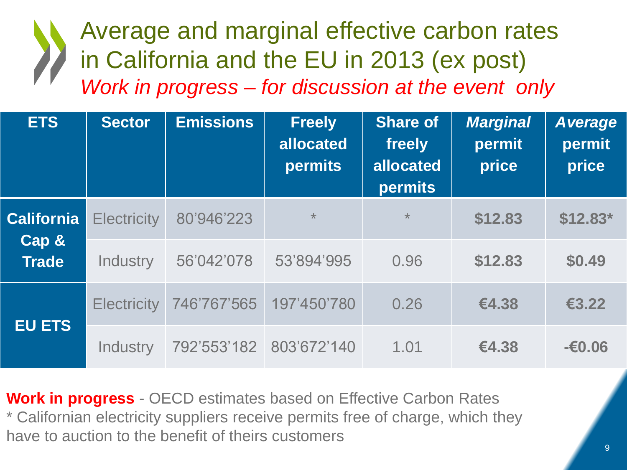## Average and marginal effective carbon rates in California and the EU in 2013 (ex post) *Work in progress – for discussion at the event only*

| <b>ETS</b>                                 | <b>Sector</b>      | <b>Emissions</b> | <b>Freely</b><br>allocated<br><b>permits</b> | <b>Share of</b><br>freely<br>allocated<br><b>permits</b> | <b>Marginal</b><br>permit<br>price | Average<br>permit<br>price |
|--------------------------------------------|--------------------|------------------|----------------------------------------------|----------------------------------------------------------|------------------------------------|----------------------------|
| <b>California</b><br>Cap &<br><b>Trade</b> | <b>Electricity</b> | 80'946'223       | $\star$                                      | $\star$                                                  | \$12.83                            | $$12.83*$                  |
|                                            | Industry           | 56'042'078       | 53'894'995                                   | 0.96                                                     | \$12.83                            | \$0.49                     |
| <b>EU ETS</b>                              | <b>Electricity</b> | 746'767'565      | 197'450'780                                  | 0.26                                                     | €4.38                              | €3.22                      |
|                                            | Industry           | 792'553'182      | 803'672'140                                  | 1.01                                                     | €4.38                              | $-60.06$                   |

**Work in progress** - OECD estimates based on Effective Carbon Rates \* Californian electricity suppliers receive permits free of charge, which they have to auction to the benefit of theirs customers